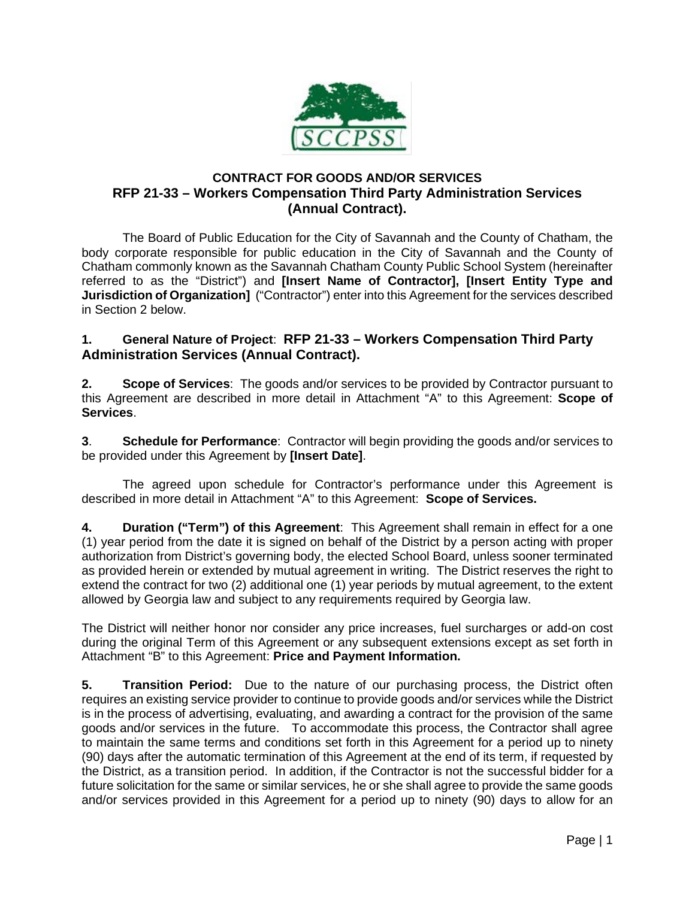

## **CONTRACT FOR GOODS AND/OR SERVICES RFP 21-33 – Workers Compensation Third Party Administration Services (Annual Contract).**

The Board of Public Education for the City of Savannah and the County of Chatham, the body corporate responsible for public education in the City of Savannah and the County of Chatham commonly known as the Savannah Chatham County Public School System (hereinafter referred to as the "District") and **[Insert Name of Contractor], [Insert Entity Type and Jurisdiction of Organization]** ("Contractor") enter into this Agreement for the services described in Section 2 below.

## **1. General Nature of Project**: **RFP 21-33 – Workers Compensation Third Party Administration Services (Annual Contract).**

**2. Scope of Services**: The goods and/or services to be provided by Contractor pursuant to this Agreement are described in more detail in Attachment "A" to this Agreement: **Scope of Services**.

**3**. **Schedule for Performance**: Contractor will begin providing the goods and/or services to be provided under this Agreement by **[Insert Date]**.

The agreed upon schedule for Contractor's performance under this Agreement is described in more detail in Attachment "A" to this Agreement: **Scope of Services.**

**4. Duration ("Term") of this Agreement**: This Agreement shall remain in effect for a one (1) year period from the date it is signed on behalf of the District by a person acting with proper authorization from District's governing body, the elected School Board, unless sooner terminated as provided herein or extended by mutual agreement in writing. The District reserves the right to extend the contract for two (2) additional one (1) year periods by mutual agreement, to the extent allowed by Georgia law and subject to any requirements required by Georgia law.

The District will neither honor nor consider any price increases, fuel surcharges or add-on cost during the original Term of this Agreement or any subsequent extensions except as set forth in Attachment "B" to this Agreement: **Price and Payment Information.**

**5. Transition Period:** Due to the nature of our purchasing process, the District often requires an existing service provider to continue to provide goods and/or services while the District is in the process of advertising, evaluating, and awarding a contract for the provision of the same goods and/or services in the future. To accommodate this process, the Contractor shall agree to maintain the same terms and conditions set forth in this Agreement for a period up to ninety (90) days after the automatic termination of this Agreement at the end of its term, if requested by the District, as a transition period. In addition, if the Contractor is not the successful bidder for a future solicitation for the same or similar services, he or she shall agree to provide the same goods and/or services provided in this Agreement for a period up to ninety (90) days to allow for an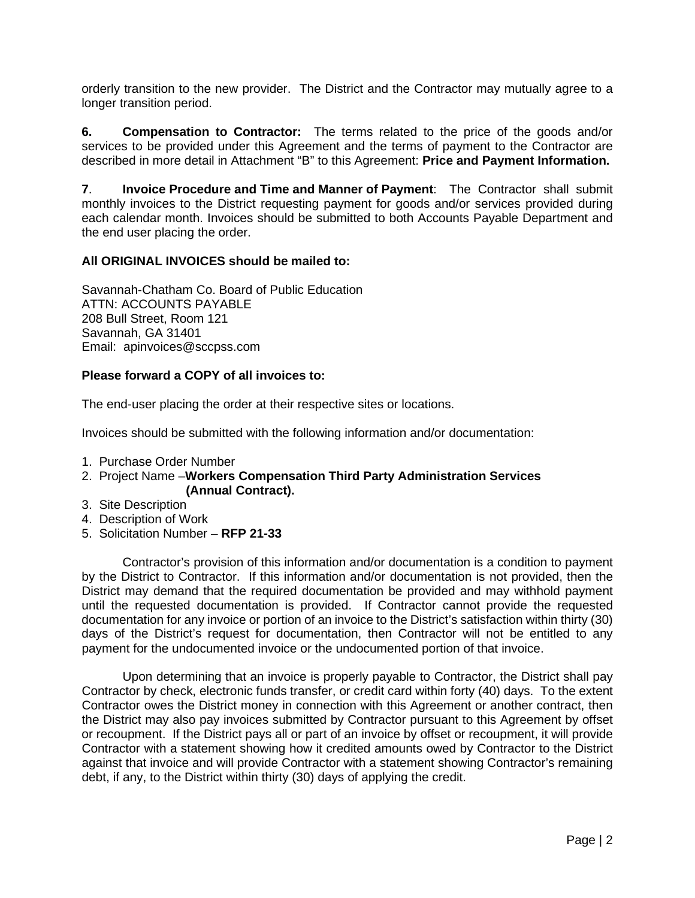orderly transition to the new provider. The District and the Contractor may mutually agree to a longer transition period.

**6. Compensation to Contractor:** The terms related to the price of the goods and/or services to be provided under this Agreement and the terms of payment to the Contractor are described in more detail in Attachment "B" to this Agreement: **Price and Payment Information.** 

**7**. **Invoice Procedure and Time and Manner of Payment**: The Contractor shall submit monthly invoices to the District requesting payment for goods and/or services provided during each calendar month. Invoices should be submitted to both Accounts Payable Department and the end user placing the order.

### **All ORIGINAL INVOICES should be mailed to:**

Savannah-Chatham Co. Board of Public Education ATTN: ACCOUNTS PAYABLE 208 Bull Street, Room 121 Savannah, GA 31401 Email: apinvoices@sccpss.com

### **Please forward a COPY of all invoices to:**

The end-user placing the order at their respective sites or locations.

Invoices should be submitted with the following information and/or documentation:

- 1. Purchase Order Number
- 2. Project Name –**Workers Compensation Third Party Administration Services (Annual Contract).**
- 3. Site Description
- 4. Description of Work
- 5. Solicitation Number **RFP 21-33**

Contractor's provision of this information and/or documentation is a condition to payment by the District to Contractor. If this information and/or documentation is not provided, then the District may demand that the required documentation be provided and may withhold payment until the requested documentation is provided. If Contractor cannot provide the requested documentation for any invoice or portion of an invoice to the District's satisfaction within thirty (30) days of the District's request for documentation, then Contractor will not be entitled to any payment for the undocumented invoice or the undocumented portion of that invoice.

Upon determining that an invoice is properly payable to Contractor, the District shall pay Contractor by check, electronic funds transfer, or credit card within forty (40) days. To the extent Contractor owes the District money in connection with this Agreement or another contract, then the District may also pay invoices submitted by Contractor pursuant to this Agreement by offset or recoupment. If the District pays all or part of an invoice by offset or recoupment, it will provide Contractor with a statement showing how it credited amounts owed by Contractor to the District against that invoice and will provide Contractor with a statement showing Contractor's remaining debt, if any, to the District within thirty (30) days of applying the credit.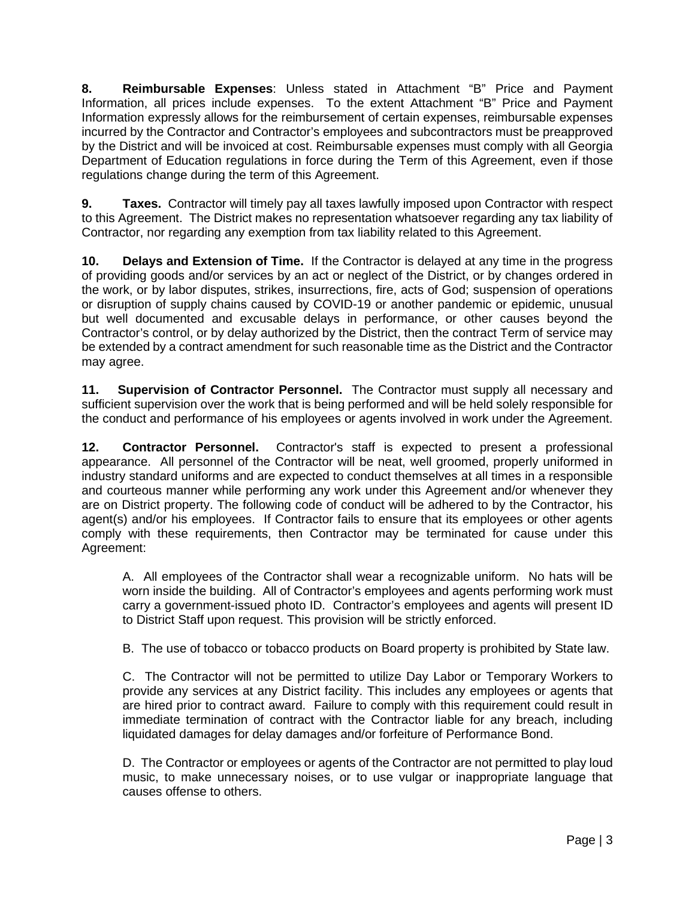**8. Reimbursable Expenses**: Unless stated in Attachment "B" Price and Payment Information, all prices include expenses. To the extent Attachment "B" Price and Payment Information expressly allows for the reimbursement of certain expenses, reimbursable expenses incurred by the Contractor and Contractor's employees and subcontractors must be preapproved by the District and will be invoiced at cost. Reimbursable expenses must comply with all Georgia Department of Education regulations in force during the Term of this Agreement, even if those regulations change during the term of this Agreement.

**9. Taxes.** Contractor will timely pay all taxes lawfully imposed upon Contractor with respect to this Agreement. The District makes no representation whatsoever regarding any tax liability of Contractor, nor regarding any exemption from tax liability related to this Agreement.

**10. Delays and Extension of Time.** If the Contractor is delayed at any time in the progress of providing goods and/or services by an act or neglect of the District, or by changes ordered in the work, or by labor disputes, strikes, insurrections, fire, acts of God; suspension of operations or disruption of supply chains caused by COVID-19 or another pandemic or epidemic, unusual but well documented and excusable delays in performance, or other causes beyond the Contractor's control, or by delay authorized by the District, then the contract Term of service may be extended by a contract amendment for such reasonable time as the District and the Contractor may agree.

**11. Supervision of Contractor Personnel.** The Contractor must supply all necessary and sufficient supervision over the work that is being performed and will be held solely responsible for the conduct and performance of his employees or agents involved in work under the Agreement.

**12. Contractor Personnel.** Contractor's staff is expected to present a professional appearance. All personnel of the Contractor will be neat, well groomed, properly uniformed in industry standard uniforms and are expected to conduct themselves at all times in a responsible and courteous manner while performing any work under this Agreement and/or whenever they are on District property. The following code of conduct will be adhered to by the Contractor, his agent(s) and/or his employees. If Contractor fails to ensure that its employees or other agents comply with these requirements, then Contractor may be terminated for cause under this Agreement:

A. All employees of the Contractor shall wear a recognizable uniform. No hats will be worn inside the building. All of Contractor's employees and agents performing work must carry a government-issued photo ID. Contractor's employees and agents will present ID to District Staff upon request. This provision will be strictly enforced.

B. The use of tobacco or tobacco products on Board property is prohibited by State law.

C. The Contractor will not be permitted to utilize Day Labor or Temporary Workers to provide any services at any District facility. This includes any employees or agents that are hired prior to contract award. Failure to comply with this requirement could result in immediate termination of contract with the Contractor liable for any breach, including liquidated damages for delay damages and/or forfeiture of Performance Bond.

D. The Contractor or employees or agents of the Contractor are not permitted to play loud music, to make unnecessary noises, or to use vulgar or inappropriate language that causes offense to others.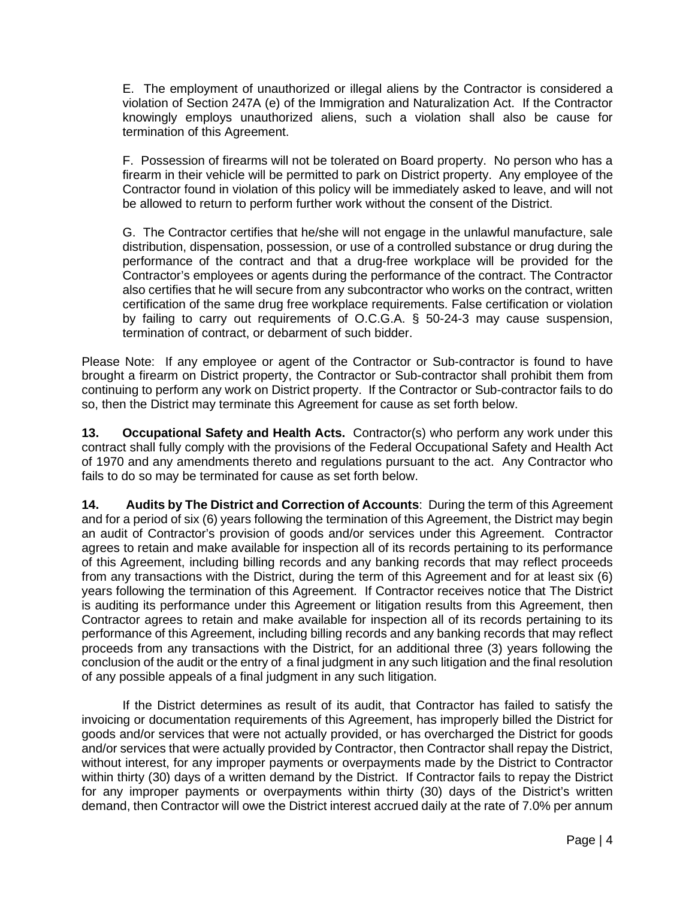E. The employment of unauthorized or illegal aliens by the Contractor is considered a violation of Section 247A (e) of the Immigration and Naturalization Act. If the Contractor knowingly employs unauthorized aliens, such a violation shall also be cause for termination of this Agreement.

F. Possession of firearms will not be tolerated on Board property. No person who has a firearm in their vehicle will be permitted to park on District property. Any employee of the Contractor found in violation of this policy will be immediately asked to leave, and will not be allowed to return to perform further work without the consent of the District.

G. The Contractor certifies that he/she will not engage in the unlawful manufacture, sale distribution, dispensation, possession, or use of a controlled substance or drug during the performance of the contract and that a drug-free workplace will be provided for the Contractor's employees or agents during the performance of the contract. The Contractor also certifies that he will secure from any subcontractor who works on the contract, written certification of the same drug free workplace requirements. False certification or violation by failing to carry out requirements of O.C.G.A. § 50-24-3 may cause suspension, termination of contract, or debarment of such bidder.

Please Note: If any employee or agent of the Contractor or Sub-contractor is found to have brought a firearm on District property, the Contractor or Sub-contractor shall prohibit them from continuing to perform any work on District property. If the Contractor or Sub-contractor fails to do so, then the District may terminate this Agreement for cause as set forth below.

**13. Occupational Safety and Health Acts.** Contractor(s) who perform any work under this contract shall fully comply with the provisions of the Federal Occupational Safety and Health Act of 1970 and any amendments thereto and regulations pursuant to the act. Any Contractor who fails to do so may be terminated for cause as set forth below.

**14. Audits by The District and Correction of Accounts**: During the term of this Agreement and for a period of six (6) years following the termination of this Agreement, the District may begin an audit of Contractor's provision of goods and/or services under this Agreement. Contractor agrees to retain and make available for inspection all of its records pertaining to its performance of this Agreement, including billing records and any banking records that may reflect proceeds from any transactions with the District, during the term of this Agreement and for at least six (6) years following the termination of this Agreement. If Contractor receives notice that The District is auditing its performance under this Agreement or litigation results from this Agreement, then Contractor agrees to retain and make available for inspection all of its records pertaining to its performance of this Agreement, including billing records and any banking records that may reflect proceeds from any transactions with the District, for an additional three (3) years following the conclusion of the audit or the entry of a final judgment in any such litigation and the final resolution of any possible appeals of a final judgment in any such litigation.

If the District determines as result of its audit, that Contractor has failed to satisfy the invoicing or documentation requirements of this Agreement, has improperly billed the District for goods and/or services that were not actually provided, or has overcharged the District for goods and/or services that were actually provided by Contractor, then Contractor shall repay the District, without interest, for any improper payments or overpayments made by the District to Contractor within thirty (30) days of a written demand by the District. If Contractor fails to repay the District for any improper payments or overpayments within thirty (30) days of the District's written demand, then Contractor will owe the District interest accrued daily at the rate of 7.0% per annum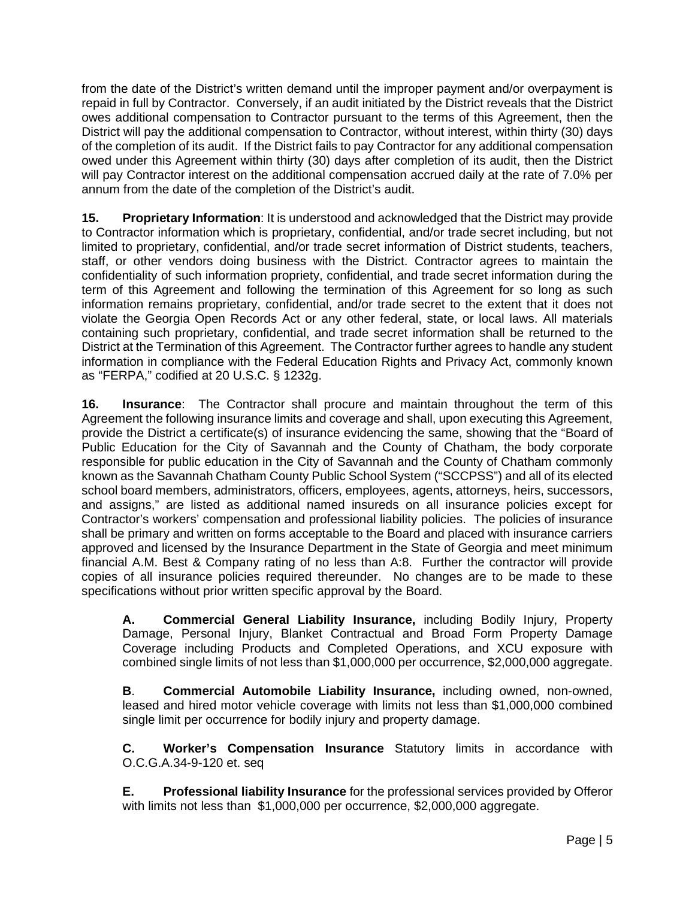from the date of the District's written demand until the improper payment and/or overpayment is repaid in full by Contractor. Conversely, if an audit initiated by the District reveals that the District owes additional compensation to Contractor pursuant to the terms of this Agreement, then the District will pay the additional compensation to Contractor, without interest, within thirty (30) days of the completion of its audit. If the District fails to pay Contractor for any additional compensation owed under this Agreement within thirty (30) days after completion of its audit, then the District will pay Contractor interest on the additional compensation accrued daily at the rate of 7.0% per annum from the date of the completion of the District's audit.

**15. Proprietary Information**: It is understood and acknowledged that the District may provide to Contractor information which is proprietary, confidential, and/or trade secret including, but not limited to proprietary, confidential, and/or trade secret information of District students, teachers, staff, or other vendors doing business with the District. Contractor agrees to maintain the confidentiality of such information propriety, confidential, and trade secret information during the term of this Agreement and following the termination of this Agreement for so long as such information remains proprietary, confidential, and/or trade secret to the extent that it does not violate the Georgia Open Records Act or any other federal, state, or local laws. All materials containing such proprietary, confidential, and trade secret information shall be returned to the District at the Termination of this Agreement. The Contractor further agrees to handle any student information in compliance with the Federal Education Rights and Privacy Act, commonly known as "FERPA," codified at 20 U.S.C. § 1232g.

**16. Insurance**: The Contractor shall procure and maintain throughout the term of this Agreement the following insurance limits and coverage and shall, upon executing this Agreement, provide the District a certificate(s) of insurance evidencing the same, showing that the "Board of Public Education for the City of Savannah and the County of Chatham, the body corporate responsible for public education in the City of Savannah and the County of Chatham commonly known as the Savannah Chatham County Public School System ("SCCPSS") and all of its elected school board members, administrators, officers, employees, agents, attorneys, heirs, successors, and assigns," are listed as additional named insureds on all insurance policies except for Contractor's workers' compensation and professional liability policies. The policies of insurance shall be primary and written on forms acceptable to the Board and placed with insurance carriers approved and licensed by the Insurance Department in the State of Georgia and meet minimum financial A.M. Best & Company rating of no less than A:8. Further the contractor will provide copies of all insurance policies required thereunder. No changes are to be made to these specifications without prior written specific approval by the Board.

**A. Commercial General Liability Insurance,** including Bodily Injury, Property Damage, Personal Injury, Blanket Contractual and Broad Form Property Damage Coverage including Products and Completed Operations, and XCU exposure with combined single limits of not less than \$1,000,000 per occurrence, \$2,000,000 aggregate.

**B**. **Commercial Automobile Liability Insurance,** including owned, non-owned, leased and hired motor vehicle coverage with limits not less than \$1,000,000 combined single limit per occurrence for bodily injury and property damage.

**C. Worker's Compensation Insurance** Statutory limits in accordance with O.C.G.A.34-9-120 et. seq

**E. Professional liability Insurance** for the professional services provided by Offeror with limits not less than \$1,000,000 per occurrence, \$2,000,000 aggregate.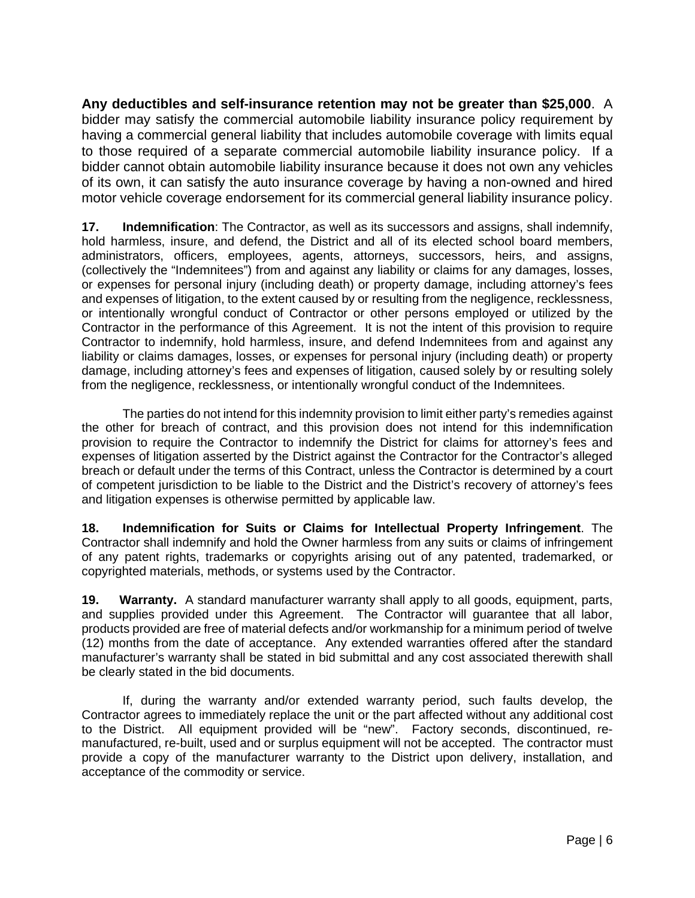**Any deductibles and self-insurance retention may not be greater than \$25,000**. A bidder may satisfy the commercial automobile liability insurance policy requirement by having a commercial general liability that includes automobile coverage with limits equal to those required of a separate commercial automobile liability insurance policy. If a bidder cannot obtain automobile liability insurance because it does not own any vehicles of its own, it can satisfy the auto insurance coverage by having a non-owned and hired motor vehicle coverage endorsement for its commercial general liability insurance policy.

**17. Indemnification**: The Contractor, as well as its successors and assigns, shall indemnify, hold harmless, insure, and defend, the District and all of its elected school board members, administrators, officers, employees, agents, attorneys, successors, heirs, and assigns, (collectively the "Indemnitees") from and against any liability or claims for any damages, losses, or expenses for personal injury (including death) or property damage, including attorney's fees and expenses of litigation, to the extent caused by or resulting from the negligence, recklessness, or intentionally wrongful conduct of Contractor or other persons employed or utilized by the Contractor in the performance of this Agreement. It is not the intent of this provision to require Contractor to indemnify, hold harmless, insure, and defend Indemnitees from and against any liability or claims damages, losses, or expenses for personal injury (including death) or property damage, including attorney's fees and expenses of litigation, caused solely by or resulting solely from the negligence, recklessness, or intentionally wrongful conduct of the Indemnitees.

The parties do not intend for this indemnity provision to limit either party's remedies against the other for breach of contract, and this provision does not intend for this indemnification provision to require the Contractor to indemnify the District for claims for attorney's fees and expenses of litigation asserted by the District against the Contractor for the Contractor's alleged breach or default under the terms of this Contract, unless the Contractor is determined by a court of competent jurisdiction to be liable to the District and the District's recovery of attorney's fees and litigation expenses is otherwise permitted by applicable law.

**18. Indemnification for Suits or Claims for Intellectual Property Infringement**. The Contractor shall indemnify and hold the Owner harmless from any suits or claims of infringement of any patent rights, trademarks or copyrights arising out of any patented, trademarked, or copyrighted materials, methods, or systems used by the Contractor.

**19. Warranty.** A standard manufacturer warranty shall apply to all goods, equipment, parts, and supplies provided under this Agreement. The Contractor will guarantee that all labor, products provided are free of material defects and/or workmanship for a minimum period of twelve (12) months from the date of acceptance. Any extended warranties offered after the standard manufacturer's warranty shall be stated in bid submittal and any cost associated therewith shall be clearly stated in the bid documents.

If, during the warranty and/or extended warranty period, such faults develop, the Contractor agrees to immediately replace the unit or the part affected without any additional cost to the District. All equipment provided will be "new". Factory seconds, discontinued, remanufactured, re-built, used and or surplus equipment will not be accepted. The contractor must provide a copy of the manufacturer warranty to the District upon delivery, installation, and acceptance of the commodity or service.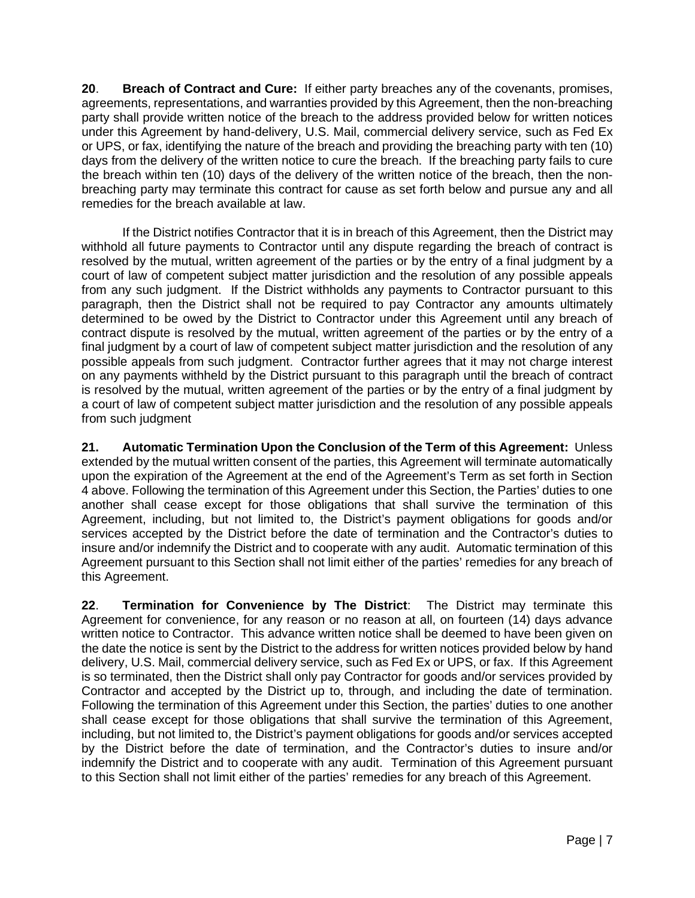**20**. **Breach of Contract and Cure:** If either party breaches any of the covenants, promises, agreements, representations, and warranties provided by this Agreement, then the non-breaching party shall provide written notice of the breach to the address provided below for written notices under this Agreement by hand-delivery, U.S. Mail, commercial delivery service, such as Fed Ex or UPS, or fax, identifying the nature of the breach and providing the breaching party with ten (10) days from the delivery of the written notice to cure the breach. If the breaching party fails to cure the breach within ten (10) days of the delivery of the written notice of the breach, then the nonbreaching party may terminate this contract for cause as set forth below and pursue any and all remedies for the breach available at law.

If the District notifies Contractor that it is in breach of this Agreement, then the District may withhold all future payments to Contractor until any dispute regarding the breach of contract is resolved by the mutual, written agreement of the parties or by the entry of a final judgment by a court of law of competent subject matter jurisdiction and the resolution of any possible appeals from any such judgment. If the District withholds any payments to Contractor pursuant to this paragraph, then the District shall not be required to pay Contractor any amounts ultimately determined to be owed by the District to Contractor under this Agreement until any breach of contract dispute is resolved by the mutual, written agreement of the parties or by the entry of a final judgment by a court of law of competent subject matter jurisdiction and the resolution of any possible appeals from such judgment. Contractor further agrees that it may not charge interest on any payments withheld by the District pursuant to this paragraph until the breach of contract is resolved by the mutual, written agreement of the parties or by the entry of a final judgment by a court of law of competent subject matter jurisdiction and the resolution of any possible appeals from such judgment

**21. Automatic Termination Upon the Conclusion of the Term of this Agreement:** Unless extended by the mutual written consent of the parties, this Agreement will terminate automatically upon the expiration of the Agreement at the end of the Agreement's Term as set forth in Section 4 above. Following the termination of this Agreement under this Section, the Parties' duties to one another shall cease except for those obligations that shall survive the termination of this Agreement, including, but not limited to, the District's payment obligations for goods and/or services accepted by the District before the date of termination and the Contractor's duties to insure and/or indemnify the District and to cooperate with any audit. Automatic termination of this Agreement pursuant to this Section shall not limit either of the parties' remedies for any breach of this Agreement.

**22**. **Termination for Convenience by The District**: The District may terminate this Agreement for convenience, for any reason or no reason at all, on fourteen (14) days advance written notice to Contractor. This advance written notice shall be deemed to have been given on the date the notice is sent by the District to the address for written notices provided below by hand delivery, U.S. Mail, commercial delivery service, such as Fed Ex or UPS, or fax. If this Agreement is so terminated, then the District shall only pay Contractor for goods and/or services provided by Contractor and accepted by the District up to, through, and including the date of termination. Following the termination of this Agreement under this Section, the parties' duties to one another shall cease except for those obligations that shall survive the termination of this Agreement, including, but not limited to, the District's payment obligations for goods and/or services accepted by the District before the date of termination, and the Contractor's duties to insure and/or indemnify the District and to cooperate with any audit. Termination of this Agreement pursuant to this Section shall not limit either of the parties' remedies for any breach of this Agreement.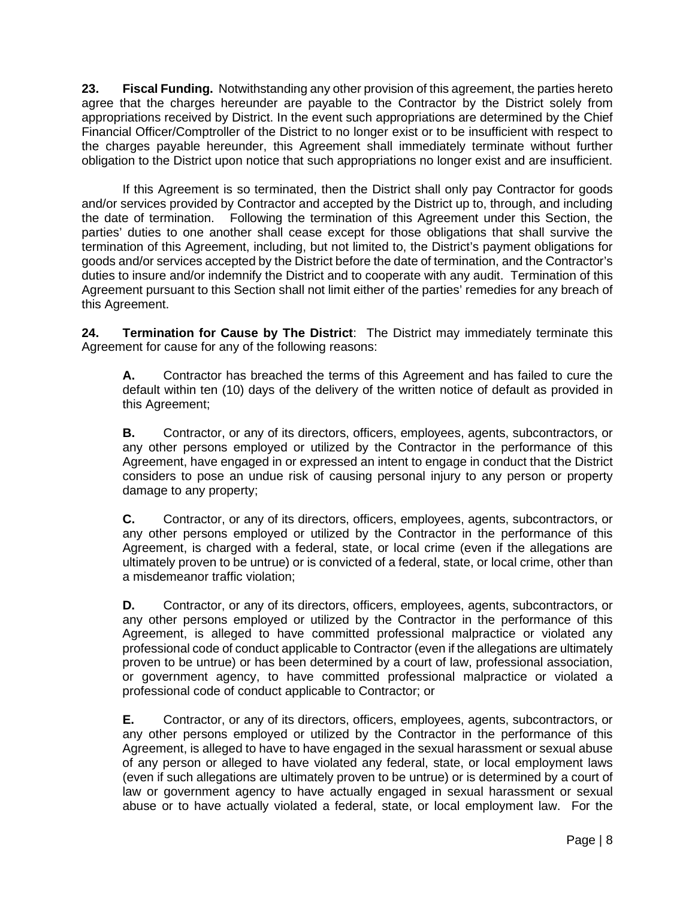**23. Fiscal Funding.** Notwithstanding any other provision of this agreement, the parties hereto agree that the charges hereunder are payable to the Contractor by the District solely from appropriations received by District. In the event such appropriations are determined by the Chief Financial Officer/Comptroller of the District to no longer exist or to be insufficient with respect to the charges payable hereunder, this Agreement shall immediately terminate without further obligation to the District upon notice that such appropriations no longer exist and are insufficient.

If this Agreement is so terminated, then the District shall only pay Contractor for goods and/or services provided by Contractor and accepted by the District up to, through, and including the date of termination. Following the termination of this Agreement under this Section, the parties' duties to one another shall cease except for those obligations that shall survive the termination of this Agreement, including, but not limited to, the District's payment obligations for goods and/or services accepted by the District before the date of termination, and the Contractor's duties to insure and/or indemnify the District and to cooperate with any audit. Termination of this Agreement pursuant to this Section shall not limit either of the parties' remedies for any breach of this Agreement.

**24. Termination for Cause by The District**: The District may immediately terminate this Agreement for cause for any of the following reasons:

**A.** Contractor has breached the terms of this Agreement and has failed to cure the default within ten (10) days of the delivery of the written notice of default as provided in this Agreement;

**B.** Contractor, or any of its directors, officers, employees, agents, subcontractors, or any other persons employed or utilized by the Contractor in the performance of this Agreement, have engaged in or expressed an intent to engage in conduct that the District considers to pose an undue risk of causing personal injury to any person or property damage to any property;

**C.** Contractor, or any of its directors, officers, employees, agents, subcontractors, or any other persons employed or utilized by the Contractor in the performance of this Agreement, is charged with a federal, state, or local crime (even if the allegations are ultimately proven to be untrue) or is convicted of a federal, state, or local crime, other than a misdemeanor traffic violation;

**D.** Contractor, or any of its directors, officers, employees, agents, subcontractors, or any other persons employed or utilized by the Contractor in the performance of this Agreement, is alleged to have committed professional malpractice or violated any professional code of conduct applicable to Contractor (even if the allegations are ultimately proven to be untrue) or has been determined by a court of law, professional association, or government agency, to have committed professional malpractice or violated a professional code of conduct applicable to Contractor; or

**E.** Contractor, or any of its directors, officers, employees, agents, subcontractors, or any other persons employed or utilized by the Contractor in the performance of this Agreement, is alleged to have to have engaged in the sexual harassment or sexual abuse of any person or alleged to have violated any federal, state, or local employment laws (even if such allegations are ultimately proven to be untrue) or is determined by a court of law or government agency to have actually engaged in sexual harassment or sexual abuse or to have actually violated a federal, state, or local employment law. For the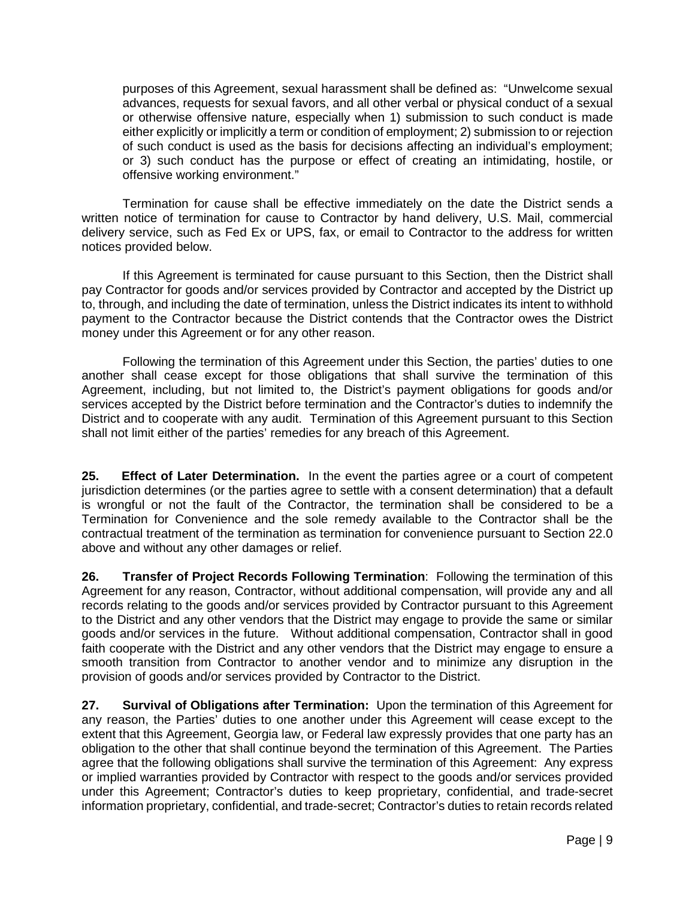purposes of this Agreement, sexual harassment shall be defined as: "Unwelcome sexual advances, requests for sexual favors, and all other verbal or physical conduct of a sexual or otherwise offensive nature, especially when 1) submission to such conduct is made either explicitly or implicitly a term or condition of employment; 2) submission to or rejection of such conduct is used as the basis for decisions affecting an individual's employment; or 3) such conduct has the purpose or effect of creating an intimidating, hostile, or offensive working environment."

Termination for cause shall be effective immediately on the date the District sends a written notice of termination for cause to Contractor by hand delivery, U.S. Mail, commercial delivery service, such as Fed Ex or UPS, fax, or email to Contractor to the address for written notices provided below.

If this Agreement is terminated for cause pursuant to this Section, then the District shall pay Contractor for goods and/or services provided by Contractor and accepted by the District up to, through, and including the date of termination, unless the District indicates its intent to withhold payment to the Contractor because the District contends that the Contractor owes the District money under this Agreement or for any other reason.

Following the termination of this Agreement under this Section, the parties' duties to one another shall cease except for those obligations that shall survive the termination of this Agreement, including, but not limited to, the District's payment obligations for goods and/or services accepted by the District before termination and the Contractor's duties to indemnify the District and to cooperate with any audit. Termination of this Agreement pursuant to this Section shall not limit either of the parties' remedies for any breach of this Agreement.

**25. Effect of Later Determination.** In the event the parties agree or a court of competent jurisdiction determines (or the parties agree to settle with a consent determination) that a default is wrongful or not the fault of the Contractor, the termination shall be considered to be a Termination for Convenience and the sole remedy available to the Contractor shall be the contractual treatment of the termination as termination for convenience pursuant to Section 22.0 above and without any other damages or relief.

**26. Transfer of Project Records Following Termination**: Following the termination of this Agreement for any reason, Contractor, without additional compensation, will provide any and all records relating to the goods and/or services provided by Contractor pursuant to this Agreement to the District and any other vendors that the District may engage to provide the same or similar goods and/or services in the future. Without additional compensation, Contractor shall in good faith cooperate with the District and any other vendors that the District may engage to ensure a smooth transition from Contractor to another vendor and to minimize any disruption in the provision of goods and/or services provided by Contractor to the District.

**27. Survival of Obligations after Termination:** Upon the termination of this Agreement for any reason, the Parties' duties to one another under this Agreement will cease except to the extent that this Agreement, Georgia law, or Federal law expressly provides that one party has an obligation to the other that shall continue beyond the termination of this Agreement. The Parties agree that the following obligations shall survive the termination of this Agreement: Any express or implied warranties provided by Contractor with respect to the goods and/or services provided under this Agreement; Contractor's duties to keep proprietary, confidential, and trade-secret information proprietary, confidential, and trade-secret; Contractor's duties to retain records related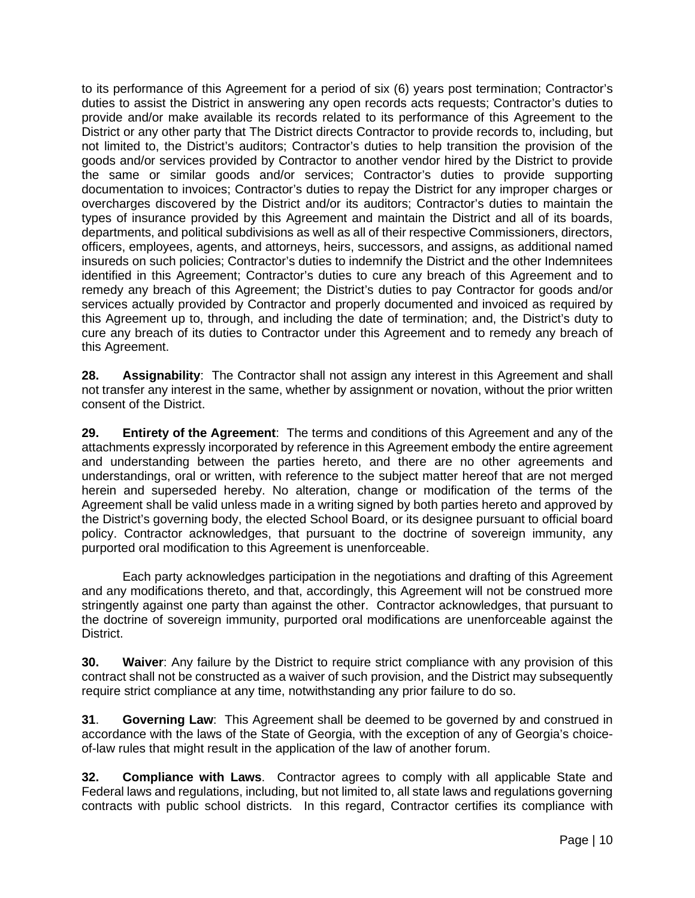to its performance of this Agreement for a period of six (6) years post termination; Contractor's duties to assist the District in answering any open records acts requests; Contractor's duties to provide and/or make available its records related to its performance of this Agreement to the District or any other party that The District directs Contractor to provide records to, including, but not limited to, the District's auditors; Contractor's duties to help transition the provision of the goods and/or services provided by Contractor to another vendor hired by the District to provide the same or similar goods and/or services; Contractor's duties to provide supporting documentation to invoices; Contractor's duties to repay the District for any improper charges or overcharges discovered by the District and/or its auditors; Contractor's duties to maintain the types of insurance provided by this Agreement and maintain the District and all of its boards, departments, and political subdivisions as well as all of their respective Commissioners, directors, officers, employees, agents, and attorneys, heirs, successors, and assigns, as additional named insureds on such policies; Contractor's duties to indemnify the District and the other Indemnitees identified in this Agreement; Contractor's duties to cure any breach of this Agreement and to remedy any breach of this Agreement; the District's duties to pay Contractor for goods and/or services actually provided by Contractor and properly documented and invoiced as required by this Agreement up to, through, and including the date of termination; and, the District's duty to cure any breach of its duties to Contractor under this Agreement and to remedy any breach of this Agreement.

**28. Assignability**: The Contractor shall not assign any interest in this Agreement and shall not transfer any interest in the same, whether by assignment or novation, without the prior written consent of the District.

**29. Entirety of the Agreement**: The terms and conditions of this Agreement and any of the attachments expressly incorporated by reference in this Agreement embody the entire agreement and understanding between the parties hereto, and there are no other agreements and understandings, oral or written, with reference to the subject matter hereof that are not merged herein and superseded hereby. No alteration, change or modification of the terms of the Agreement shall be valid unless made in a writing signed by both parties hereto and approved by the District's governing body, the elected School Board, or its designee pursuant to official board policy. Contractor acknowledges, that pursuant to the doctrine of sovereign immunity, any purported oral modification to this Agreement is unenforceable.

Each party acknowledges participation in the negotiations and drafting of this Agreement and any modifications thereto, and that, accordingly, this Agreement will not be construed more stringently against one party than against the other. Contractor acknowledges, that pursuant to the doctrine of sovereign immunity, purported oral modifications are unenforceable against the District.

**30. Waiver**: Any failure by the District to require strict compliance with any provision of this contract shall not be constructed as a waiver of such provision, and the District may subsequently require strict compliance at any time, notwithstanding any prior failure to do so.

**31**. **Governing Law**: This Agreement shall be deemed to be governed by and construed in accordance with the laws of the State of Georgia, with the exception of any of Georgia's choiceof-law rules that might result in the application of the law of another forum.

**32. Compliance with Laws**. Contractor agrees to comply with all applicable State and Federal laws and regulations, including, but not limited to, all state laws and regulations governing contracts with public school districts. In this regard, Contractor certifies its compliance with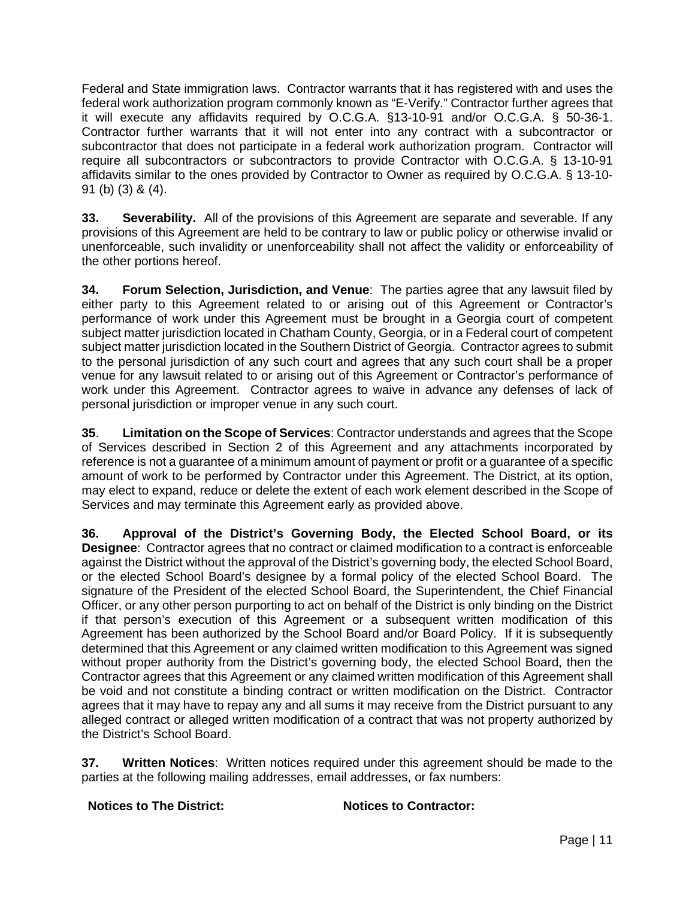Federal and State immigration laws. Contractor warrants that it has registered with and uses the federal work authorization program commonly known as "E-Verify." Contractor further agrees that it will execute any affidavits required by O.C.G.A. §13-10-91 and/or O.C.G.A. § 50-36-1. Contractor further warrants that it will not enter into any contract with a subcontractor or subcontractor that does not participate in a federal work authorization program. Contractor will require all subcontractors or subcontractors to provide Contractor with O.C.G.A. § 13-10-91 affidavits similar to the ones provided by Contractor to Owner as required by O.C.G.A. § 13-10- 91 (b) (3) & (4).

**33. Severability.** All of the provisions of this Agreement are separate and severable. If any provisions of this Agreement are held to be contrary to law or public policy or otherwise invalid or unenforceable, such invalidity or unenforceability shall not affect the validity or enforceability of the other portions hereof.

**34. Forum Selection, Jurisdiction, and Venue**: The parties agree that any lawsuit filed by either party to this Agreement related to or arising out of this Agreement or Contractor's performance of work under this Agreement must be brought in a Georgia court of competent subject matter jurisdiction located in Chatham County, Georgia, or in a Federal court of competent subject matter jurisdiction located in the Southern District of Georgia. Contractor agrees to submit to the personal jurisdiction of any such court and agrees that any such court shall be a proper venue for any lawsuit related to or arising out of this Agreement or Contractor's performance of work under this Agreement. Contractor agrees to waive in advance any defenses of lack of personal jurisdiction or improper venue in any such court.

**35**. **Limitation on the Scope of Services**: Contractor understands and agrees that the Scope of Services described in Section 2 of this Agreement and any attachments incorporated by reference is not a guarantee of a minimum amount of payment or profit or a guarantee of a specific amount of work to be performed by Contractor under this Agreement. The District, at its option, may elect to expand, reduce or delete the extent of each work element described in the Scope of Services and may terminate this Agreement early as provided above.

**36. Approval of the District's Governing Body, the Elected School Board, or its Designee**: Contractor agrees that no contract or claimed modification to a contract is enforceable against the District without the approval of the District's governing body, the elected School Board, or the elected School Board's designee by a formal policy of the elected School Board. The signature of the President of the elected School Board, the Superintendent, the Chief Financial Officer, or any other person purporting to act on behalf of the District is only binding on the District if that person's execution of this Agreement or a subsequent written modification of this Agreement has been authorized by the School Board and/or Board Policy. If it is subsequently determined that this Agreement or any claimed written modification to this Agreement was signed without proper authority from the District's governing body, the elected School Board, then the Contractor agrees that this Agreement or any claimed written modification of this Agreement shall be void and not constitute a binding contract or written modification on the District. Contractor agrees that it may have to repay any and all sums it may receive from the District pursuant to any alleged contract or alleged written modification of a contract that was not property authorized by the District's School Board.

**37. Written Notices**: Written notices required under this agreement should be made to the parties at the following mailing addresses, email addresses, or fax numbers:

**Notices to The District: Notices to Contractor:**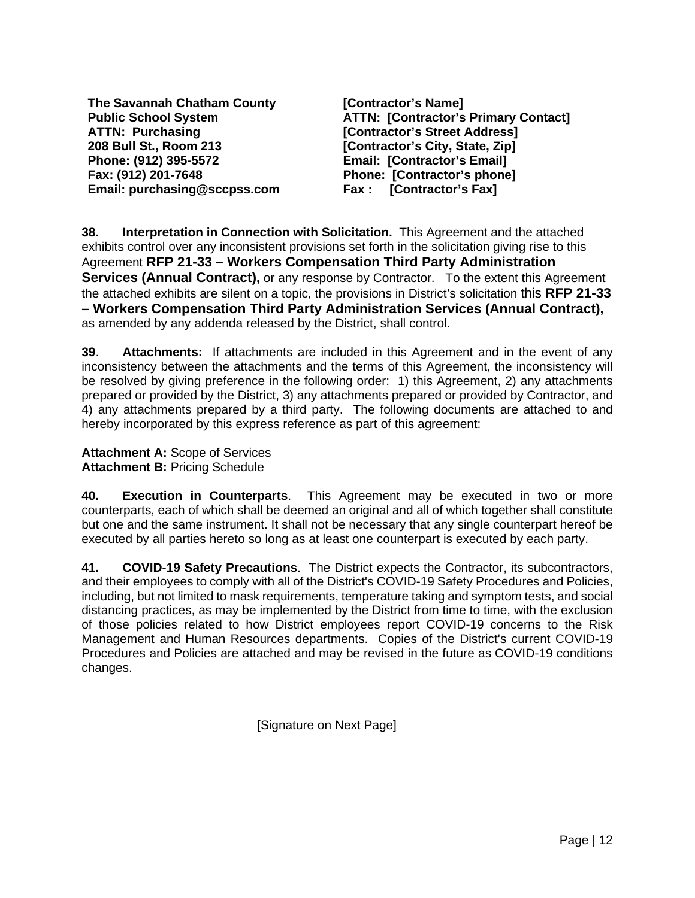**The Savannah Chatham County Public School System ATTN: Purchasing 208 Bull St., Room 213 Phone: (912) 395-5572 Fax: (912) 201-7648 Email: purchasing@sccpss.com**

**[Contractor's Name] ATTN: [Contractor's Primary Contact] [Contractor's Street Address] [Contractor's City, State, Zip] Email: [Contractor's Email] Phone: [Contractor's phone] Fax : [Contractor's Fax]**

**38. Interpretation in Connection with Solicitation.** This Agreement and the attached exhibits control over any inconsistent provisions set forth in the solicitation giving rise to this Agreement **RFP 21-33 – Workers Compensation Third Party Administration Services (Annual Contract),** or any response by Contractor. To the extent this Agreement the attached exhibits are silent on a topic, the provisions in District's solicitation this **RFP 21-33 – Workers Compensation Third Party Administration Services (Annual Contract),**  as amended by any addenda released by the District, shall control.

**39**. **Attachments:** If attachments are included in this Agreement and in the event of any inconsistency between the attachments and the terms of this Agreement, the inconsistency will be resolved by giving preference in the following order: 1) this Agreement, 2) any attachments prepared or provided by the District, 3) any attachments prepared or provided by Contractor, and 4) any attachments prepared by a third party. The following documents are attached to and hereby incorporated by this express reference as part of this agreement:

**Attachment A:** Scope of Services **Attachment B:** Pricing Schedule

**40. Execution in Counterparts**. This Agreement may be executed in two or more counterparts, each of which shall be deemed an original and all of which together shall constitute but one and the same instrument. It shall not be necessary that any single counterpart hereof be executed by all parties hereto so long as at least one counterpart is executed by each party.

**41. COVID-19 Safety Precautions**. The District expects the Contractor, its subcontractors, and their employees to comply with all of the District's COVID-19 Safety Procedures and Policies, including, but not limited to mask requirements, temperature taking and symptom tests, and social distancing practices, as may be implemented by the District from time to time, with the exclusion of those policies related to how District employees report COVID-19 concerns to the Risk Management and Human Resources departments. Copies of the District's current COVID-19 Procedures and Policies are attached and may be revised in the future as COVID-19 conditions changes.

[Signature on Next Page]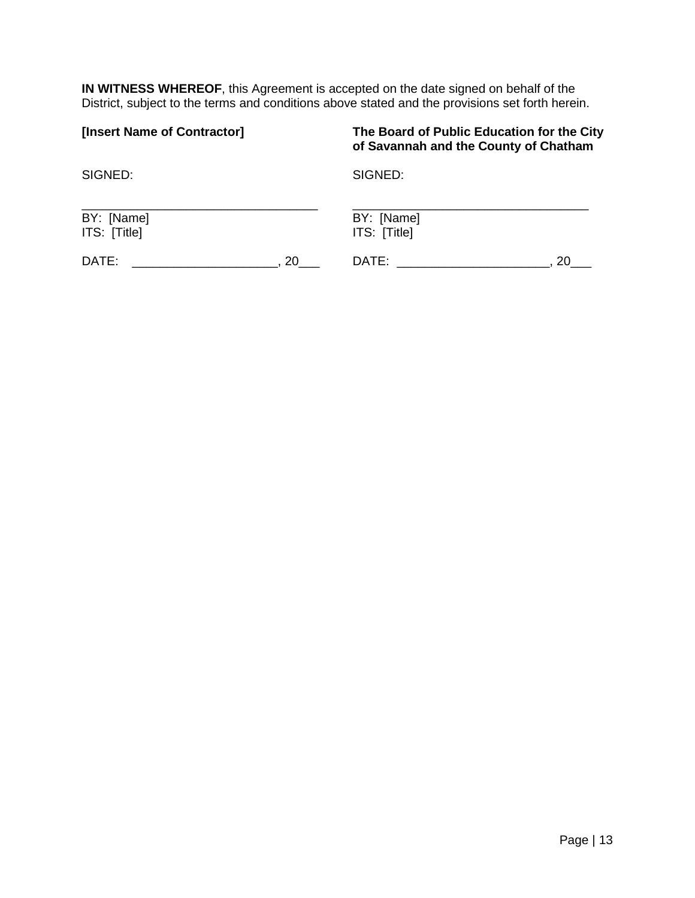**IN WITNESS WHEREOF**, this Agreement is accepted on the date signed on behalf of the District, subject to the terms and conditions above stated and the provisions set forth herein.

| [Insert Name of Contractor] | The Board of Public Education for the City<br>of Savannah and the County of Chatham |
|-----------------------------|-------------------------------------------------------------------------------------|
| SIGNED:                     | SIGNED:                                                                             |
| BY: [Name]                  | BY: [Name]                                                                          |
| ITS: [Title]                | ITS: [Title]                                                                        |
| DATE:                       | DATE:                                                                               |
| 20.                         | 20                                                                                  |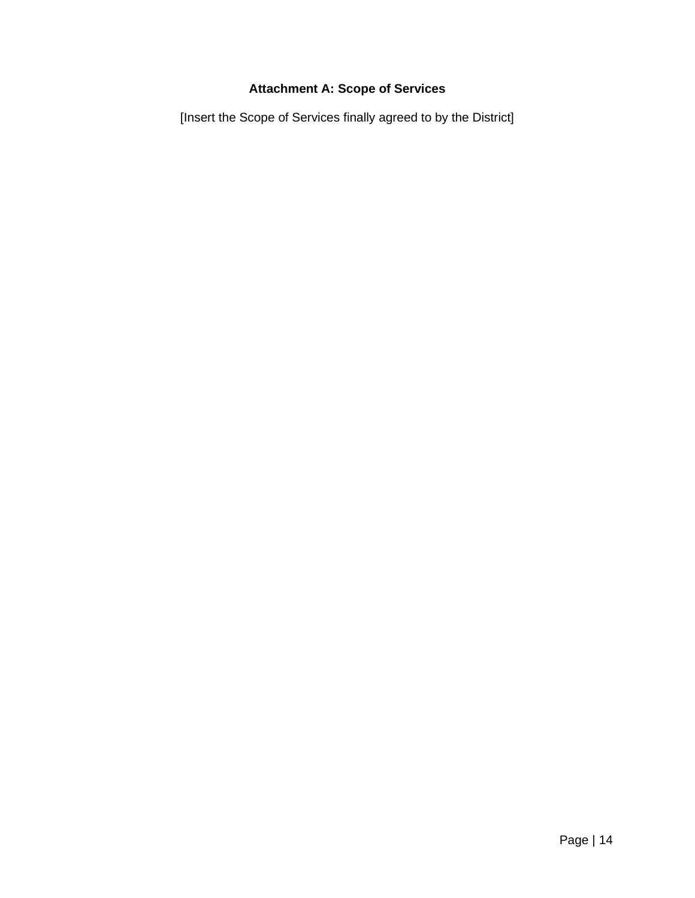# **Attachment A: Scope of Services**

[Insert the Scope of Services finally agreed to by the District]